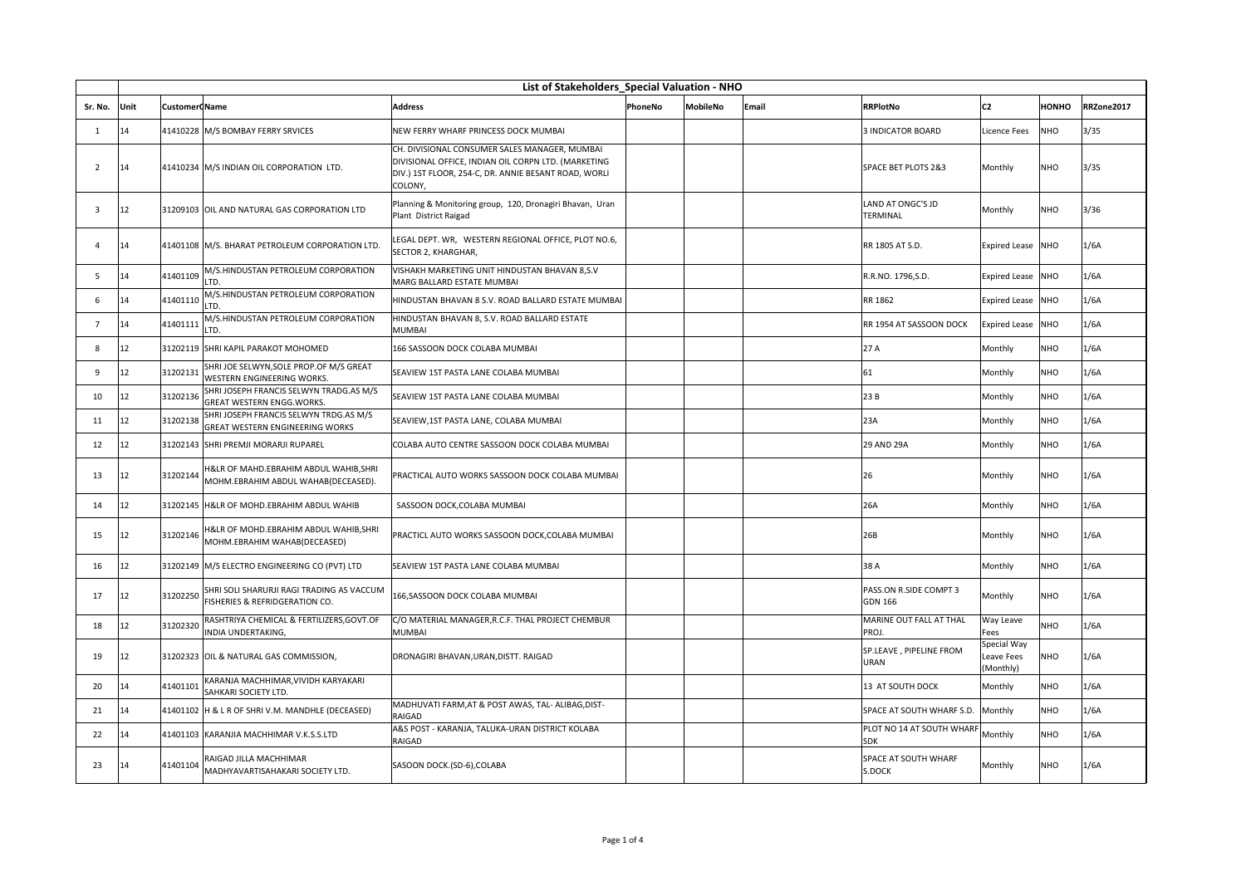|                         | List of Stakeholders Special Valuation - NHO |                      |                                                                                  |                                                                                                                                                                         |         |                 |       |                                          |                                        |              |            |
|-------------------------|----------------------------------------------|----------------------|----------------------------------------------------------------------------------|-------------------------------------------------------------------------------------------------------------------------------------------------------------------------|---------|-----------------|-------|------------------------------------------|----------------------------------------|--------------|------------|
| Sr. No.                 | Unit                                         | <b>Customer Name</b> |                                                                                  | <b>Address</b>                                                                                                                                                          | PhoneNo | <b>MobileNo</b> | Email | <b>RRPlotNo</b>                          | C <sub>2</sub>                         | <b>HONHO</b> | RRZone2017 |
| $\mathbf{1}$            | 14                                           |                      | 41410228 M/S BOMBAY FERRY SRVICES                                                | NEW FERRY WHARF PRINCESS DOCK MUMBAI                                                                                                                                    |         |                 |       | <b>3 INDICATOR BOARD</b>                 | Licence Fees                           | NHO          | 3/35       |
| 2                       | 14                                           |                      | 41410234 M/S INDIAN OIL CORPORATION LTD.                                         | CH. DIVISIONAL CONSUMER SALES MANAGER. MUMBAI<br>DIVISIONAL OFFICE, INDIAN OIL CORPN LTD. (MARKETING<br>DIV.) 1ST FLOOR, 254-C, DR. ANNIE BESANT ROAD, WORLI<br>COLONY, |         |                 |       | <b>SPACE BET PLOTS 2&amp;3</b>           | Monthly                                | NHO          | 3/35       |
| $\overline{\mathbf{3}}$ | 12                                           |                      | 31209103 OIL AND NATURAL GAS CORPORATION LTD                                     | Planning & Monitoring group, 120, Dronagiri Bhavan, Uran<br>Plant District Raigad                                                                                       |         |                 |       | LAND AT ONGC'S JD<br><b>TERMINAL</b>     | Monthly                                | NHO          | 3/36       |
| $\Delta$                | 14                                           |                      | 41401108 M/S. BHARAT PETROLEUM CORPORATION LTD.                                  | LEGAL DEPT. WR, WESTERN REGIONAL OFFICE, PLOT NO.6,<br>SECTOR 2, KHARGHAR,                                                                                              |         |                 |       | RR 1805 AT S.D.                          | <b>Expired Lease</b>                   | <b>NHO</b>   | 1/6A       |
| 5                       | 14                                           | 41401109             | M/S.HINDUSTAN PETROLEUM CORPORATION<br>LTD.                                      | VISHAKH MARKETING UNIT HINDUSTAN BHAVAN 8,S.V<br>MARG BALLARD ESTATE MUMBAI                                                                                             |         |                 |       | R.R.NO. 1796, S.D.                       | <b>Expired Lease</b>                   | NHO          | 1/6A       |
| 6                       | 14                                           | 41401110             | M/S.HINDUSTAN PETROLEUM CORPORATION<br>LTD.                                      | HINDUSTAN BHAVAN 8 S.V. ROAD BALLARD ESTATE MUMBAI                                                                                                                      |         |                 |       | RR 1862                                  | <b>Expired Lease</b>                   | <b>NHO</b>   | 1/6A       |
| $\overline{7}$          | 14                                           | 41401111             | M/S.HINDUSTAN PETROLEUM CORPORATION<br>LTD.                                      | HINDUSTAN BHAVAN 8, S.V. ROAD BALLARD ESTATE<br><b>MUMBAI</b>                                                                                                           |         |                 |       | RR 1954 AT SASSOON DOCK                  | <b>Expired Lease</b>                   | <b>NHO</b>   | 1/6A       |
| 8                       | 12                                           |                      | 31202119 SHRI KAPIL PARAKOT MOHOMED                                              | 166 SASSOON DOCK COLABA MUMBAI                                                                                                                                          |         |                 |       | 27 A                                     | Monthly                                | <b>NHO</b>   | 1/6A       |
| 9                       | 12                                           | 31202131             | SHRI JOE SELWYN, SOLE PROP.OF M/S GREAT<br>WESTERN ENGINEERING WORKS.            | SEAVIEW 1ST PASTA LANE COLABA MUMBAI                                                                                                                                    |         |                 |       | 61                                       | Monthly                                | NHO          | 1/6A       |
| 10                      | 12                                           | 31202136             | SHRI JOSEPH FRANCIS SELWYN TRADG.AS M/S<br>GREAT WESTERN ENGG.WORKS.             | SEAVIEW 1ST PASTA LANE COLABA MUMBAI                                                                                                                                    |         |                 |       | 23B                                      | Monthly                                | NHO          | 1/6A       |
| 11                      | 12                                           | 31202138             | SHRI JOSEPH FRANCIS SELWYN TRDG.AS M/S<br><b>GREAT WESTERN ENGINEERING WORKS</b> | SEAVIEW,1ST PASTA LANE, COLABA MUMBAI                                                                                                                                   |         |                 |       | 23A                                      | Monthly                                | NHO          | 1/6A       |
| 12                      | 12                                           |                      | 31202143 SHRI PREMJI MORARJI RUPAREL                                             | COLABA AUTO CENTRE SASSOON DOCK COLABA MUMBAI                                                                                                                           |         |                 |       | 29 AND 29A                               | Monthly                                | NHO          | 1/6A       |
| 13                      | 12                                           | 31202144             | H&LR OF MAHD.EBRAHIM ABDUL WAHIB,SHRI<br>MOHM.EBRAHIM ABDUL WAHAB(DECEASED).     | PRACTICAL AUTO WORKS SASSOON DOCK COLABA MUMBAI                                                                                                                         |         |                 |       | 26                                       | Monthly                                | NHO          | 1/6A       |
| 14                      | 12                                           |                      | 31202145 H&LR OF MOHD.EBRAHIM ABDUL WAHIB                                        | SASSOON DOCK, COLABA MUMBAI                                                                                                                                             |         |                 |       | 26A                                      | Monthly                                | <b>NHO</b>   | 1/6A       |
| 15                      | 12                                           | 31202146             | H&LR OF MOHD.EBRAHIM ABDUL WAHIB, SHRI<br>MOHM.EBRAHIM WAHAB(DECEASED)           | PRACTICL AUTO WORKS SASSOON DOCK, COLABA MUMBAI                                                                                                                         |         |                 |       | 26B                                      | Monthly                                | <b>NHO</b>   | 1/6A       |
| 16                      | 12                                           |                      | 31202149 M/S ELECTRO ENGINEERING CO (PVT) LTD                                    | SEAVIEW 1ST PASTA LANE COLABA MUMBAI                                                                                                                                    |         |                 |       | 38 A                                     | Monthly                                | NHO          | 1/6A       |
| 17                      | 12                                           | 31202250             | SHRI SOLI SHARURJI RAGI TRADING AS VACCUM<br>FISHERIES & REFRIDGERATION CO.      | 166, SASSOON DOCK COLABA MUMBAI                                                                                                                                         |         |                 |       | PASS.ON R.SIDE COMPT 3<br><b>GDN 166</b> | Monthly                                | NHO          | 1/6A       |
| 18                      | 12                                           | 31202320             | RASHTRIYA CHEMICAL & FERTILIZERS, GOVT.OF<br>INDIA UNDERTAKING,                  | C/O MATERIAL MANAGER, R.C.F. THAL PROJECT CHEMBUR<br><b>MUMBAI</b>                                                                                                      |         |                 |       | MARINE OUT FALL AT THAL<br>PROJ.         | Way Leave<br>Fees                      | <b>NHO</b>   | 1/6A       |
| 19                      | 12                                           |                      | 31202323 OIL & NATURAL GAS COMMISSION,                                           | DRONAGIRI BHAVAN, URAN, DISTT. RAIGAD                                                                                                                                   |         |                 |       | SP.LEAVE, PIPELINE FROM<br><b>URAN</b>   | Special Way<br>Leave Fees<br>(Monthly) | NHO          | 1/6A       |
| 20                      | 14                                           | 41401101             | KARANJA MACHHIMAR, VIVIDH KARYAKARI<br>SAHKARI SOCIETY LTD.                      |                                                                                                                                                                         |         |                 |       | 13 AT SOUTH DOCK                         | Monthly                                | <b>NHO</b>   | 1/6A       |
| 21                      | 14                                           |                      | 41401102 H & L R OF SHRI V.M. MANDHLE (DECEASED)                                 | MADHUVATI FARM, AT & POST AWAS, TAL- ALIBAG, DIST-<br>RAIGAD                                                                                                            |         |                 |       | SPACE AT SOUTH WHARF S.D.                | Monthly                                | NHO          | 1/6A       |
| 22                      | 14                                           |                      | 41401103 KARANJIA MACHHIMAR V.K.S.S.LTD                                          | A&S POST - KARANJA, TALUKA-URAN DISTRICT KOLABA<br>RAIGAD                                                                                                               |         |                 |       | PLOT NO 14 AT SOUTH WHARF<br><b>SDK</b>  | Monthly                                | NHO          | 1/6A       |
| 23                      | 14                                           | 41401104             | RAIGAD JILLA MACHHIMAR<br>MADHYAVARTISAHAKARI SOCIETY LTD.                       | SASOON DOCK.(SD-6),COLABA                                                                                                                                               |         |                 |       | SPACE AT SOUTH WHARF<br>S.DOCK           | Monthly                                | <b>NHO</b>   | 1/6A       |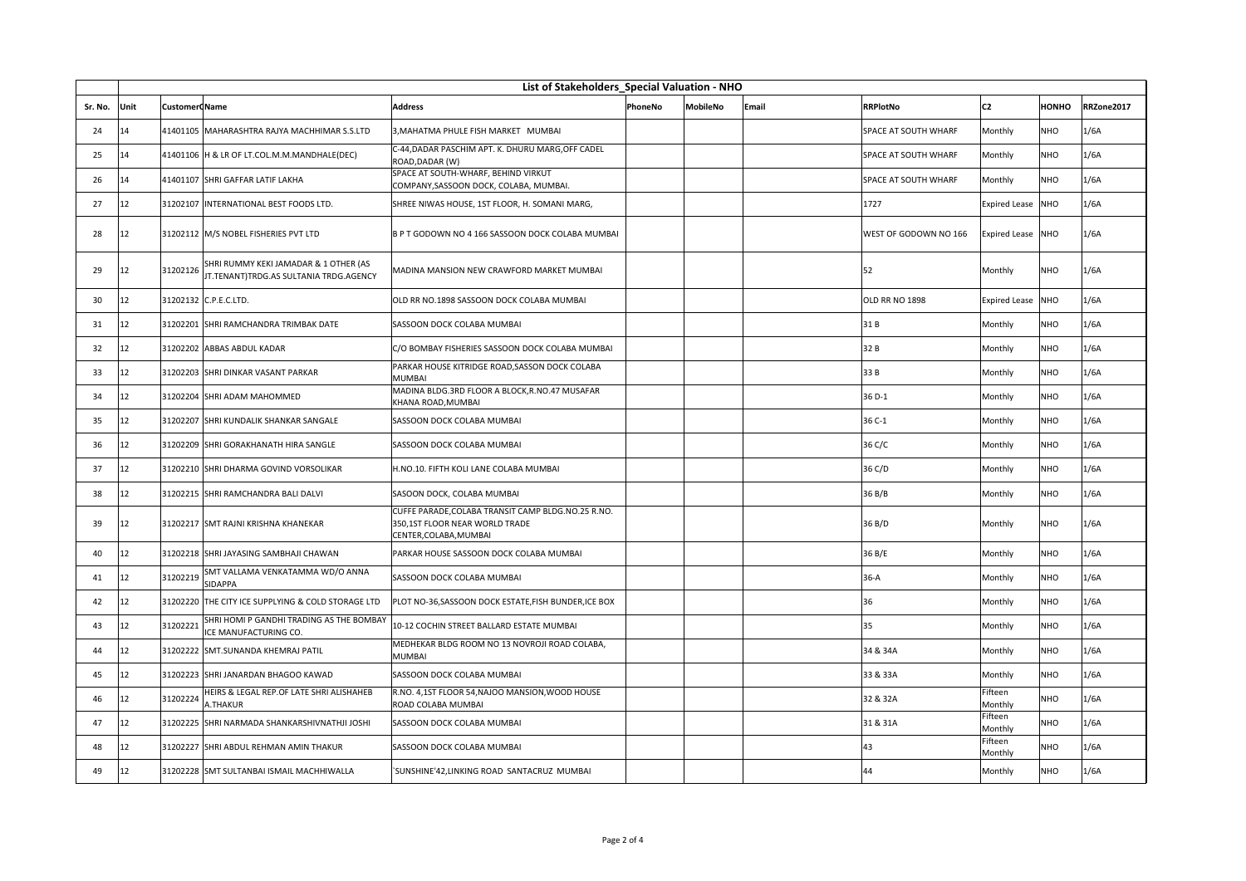|         | List of Stakeholders Special Valuation - NHO |                      |                                                                                 |                                                                                                                |         |                 |       |                             |                      |              |            |
|---------|----------------------------------------------|----------------------|---------------------------------------------------------------------------------|----------------------------------------------------------------------------------------------------------------|---------|-----------------|-------|-----------------------------|----------------------|--------------|------------|
| Sr. No. | Unit                                         | <b>Customer</b> Name |                                                                                 | Address                                                                                                        | PhoneNo | <b>MobileNo</b> | Email | <b>RRPlotNo</b>             | C <sub>2</sub>       | <b>HONHO</b> | RRZone2017 |
| 24      | 14                                           |                      | 41401105 MAHARASHTRA RAJYA MACHHIMAR S.S.LTD                                    | 3, MAHATMA PHULE FISH MARKET MUMBAI                                                                            |         |                 |       | SPACE AT SOUTH WHARF        | Monthly              | NHO          | 1/6A       |
| 25      | 14                                           |                      | 41401106 H & LR OF LT.COL.M.M.MANDHALE(DEC)                                     | C-44, DADAR PASCHIM APT. K. DHURU MARG, OFF CADEL<br>ROAD, DADAR (W)                                           |         |                 |       | SPACE AT SOUTH WHARF        | Monthly              | NHO          | 1/6A       |
| 26      | 14                                           |                      | 41401107 SHRI GAFFAR LATIF LAKHA                                                | SPACE AT SOUTH-WHARF, BEHIND VIRKUT<br>COMPANY, SASSOON DOCK, COLABA, MUMBAI.                                  |         |                 |       | <b>SPACE AT SOUTH WHARF</b> | Monthly              | NHO          | 1/6A       |
| 27      | 12                                           |                      | 31202107 INTERNATIONAL BEST FOODS LTD.                                          | SHREE NIWAS HOUSE, 1ST FLOOR, H. SOMANI MARG,                                                                  |         |                 |       | 1727                        | <b>Expired Lease</b> | <b>NHO</b>   | 1/6A       |
| 28      | 12                                           |                      | 31202112 M/S NOBEL FISHERIES PVT LTD                                            | B P T GODOWN NO 4 166 SASSOON DOCK COLABA MUMBAI                                                               |         |                 |       | WEST OF GODOWN NO 166       | <b>Expired Lease</b> | <b>NHO</b>   | 1/6A       |
| 29      | 12                                           | 31202126             | SHRI RUMMY KEKI JAMADAR & 1 OTHER (AS<br>JT.TENANT)TRDG.AS SULTANIA TRDG.AGENCY | MADINA MANSION NEW CRAWFORD MARKET MUMBAI                                                                      |         |                 |       | 52                          | Monthly              | NHO          | 1/6A       |
| 30      | 12                                           |                      | 31202132 C.P.E.C.LTD.                                                           | OLD RR NO.1898 SASSOON DOCK COLABA MUMBAI                                                                      |         |                 |       | <b>OLD RR NO 1898</b>       | <b>Expired Lease</b> | <b>NHO</b>   | 1/6A       |
| 31      | 12                                           |                      | 31202201 SHRI RAMCHANDRA TRIMBAK DATE                                           | SASSOON DOCK COLABA MUMBAI                                                                                     |         |                 |       | 31B                         | Monthly              | <b>NHO</b>   | 1/6A       |
| 32      | 12                                           |                      | 31202202 ABBAS ABDUL KADAR                                                      | C/O BOMBAY FISHERIES SASSOON DOCK COLABA MUMBAI                                                                |         |                 |       | 32B                         | Monthly              | NHO          | 1/6A       |
| 33      | 12                                           |                      | 31202203 SHRI DINKAR VASANT PARKAR                                              | PARKAR HOUSE KITRIDGE ROAD, SASSON DOCK COLABA<br>MUMBAI                                                       |         |                 |       | 33 B                        | Monthly              | NHO          | 1/6A       |
| 34      | 12                                           |                      | 31202204 SHRI ADAM MAHOMMED                                                     | MADINA BLDG.3RD FLOOR A BLOCK, R.NO.47 MUSAFAR<br>KHANA ROAD, MUMBAI                                           |         |                 |       | 36 D-1                      | Monthly              | NHO          | 1/6A       |
| 35      | 12                                           |                      | 31202207 SHRI KUNDALIK SHANKAR SANGALE                                          | SASSOON DOCK COLABA MUMBAI                                                                                     |         |                 |       | 36 C-1                      | Monthly              | NHO          | 1/6A       |
| 36      | 12                                           |                      | 31202209 SHRI GORAKHANATH HIRA SANGLE                                           | SASSOON DOCK COLABA MUMBAI                                                                                     |         |                 |       | 36 C/C                      | Monthly              | NHO          | 1/6A       |
| 37      | 12                                           |                      | 31202210 SHRI DHARMA GOVIND VORSOLIKAR                                          | H.NO.10. FIFTH KOLI LANE COLABA MUMBAI                                                                         |         |                 |       | 36 C/D                      | Monthly              | NHO          | 1/6A       |
| 38      | 12                                           |                      | 31202215 SHRI RAMCHANDRA BALI DALVI                                             | SASOON DOCK, COLABA MUMBAI                                                                                     |         |                 |       | 36 B/B                      | Monthly              | NHO          | 1/6A       |
| 39      | 12                                           |                      | 31202217 SMT RAJNI KRISHNA KHANEKAR                                             | CUFFE PARADE, COLABA TRANSIT CAMP BLDG.NO.25 R.NO.<br>350,1ST FLOOR NEAR WORLD TRADE<br>CENTER, COLABA, MUMBAI |         |                 |       | 36 B/D                      | Monthly              | <b>NHO</b>   | 1/6A       |
| 40      | 12                                           |                      | 31202218 SHRI JAYASING SAMBHAJI CHAWAN                                          | PARKAR HOUSE SASSOON DOCK COLABA MUMBAI                                                                        |         |                 |       | 36 B/E                      | Monthly              | NHO          | 1/6A       |
| 41      | 12                                           | 31202219             | SMT VALLAMA VENKATAMMA WD/O ANNA<br>SIDAPPA                                     | SASSOON DOCK COLABA MUMBAI                                                                                     |         |                 |       | 36-A                        | Monthly              | NHO          | 1/6A       |
| 42      | 12                                           |                      | 31202220 THE CITY ICE SUPPLYING & COLD STORAGE LTD                              | PLOT NO-36,SASSOON DOCK ESTATE,FISH BUNDER,ICE BOX                                                             |         |                 |       | 36                          | Monthly              | NHO          | 1/6A       |
| 43      | 12                                           | 31202221             | SHRI HOMI P GANDHI TRADING AS THE BOMBAY<br>ICE MANUFACTURING CO.               | 10-12 COCHIN STREET BALLARD ESTATE MUMBAI                                                                      |         |                 |       | 35                          | Monthly              | NHO          | 1/6A       |
| 44      | 12                                           |                      | 31202222 SMT.SUNANDA KHEMRAJ PATIL                                              | MEDHEKAR BLDG ROOM NO 13 NOVROJI ROAD COLABA,<br>MUMBAI                                                        |         |                 |       | 34 & 34A                    | Monthly              | NHO          | 1/6A       |
| 45      | 12                                           |                      | 31202223 SHRI JANARDAN BHAGOO KAWAD                                             | SASSOON DOCK COLABA MUMBAI                                                                                     |         |                 |       | 33 & 33A                    | Monthly              | NHO          | 1/6A       |
| 46      | 12                                           | 31202224             | HEIRS & LEGAL REP.OF LATE SHRI ALISHAHEB<br>A.THAKUR                            | R.NO. 4,1ST FLOOR 54, NAJOO MANSION, WOOD HOUSE<br>ROAD COLABA MUMBAI                                          |         |                 |       | 32 & 32A                    | Fifteen<br>Monthly   | NHO          | 1/6A       |
| 47      | 12                                           |                      | 31202225 SHRI NARMADA SHANKARSHIVNATHJI JOSHI                                   | SASSOON DOCK COLABA MUMBAI                                                                                     |         |                 |       | 31 & 31A                    | Fifteen<br>Monthly   | NHO          | 1/6A       |
| 48      | 12                                           |                      | 31202227 SHRI ABDUL REHMAN AMIN THAKUR                                          | SASSOON DOCK COLABA MUMBAI                                                                                     |         |                 |       | 43                          | Fifteen<br>Monthly   | NHO          | 1/6A       |
| 49      | 12                                           |                      | 31202228 SMT SULTANBAI ISMAIL MACHHIWALLA                                       | 'SUNSHINE'42,LINKING ROAD SANTACRUZ MUMBAI                                                                     |         |                 |       | 44                          | Monthly              | NHO          | 1/6A       |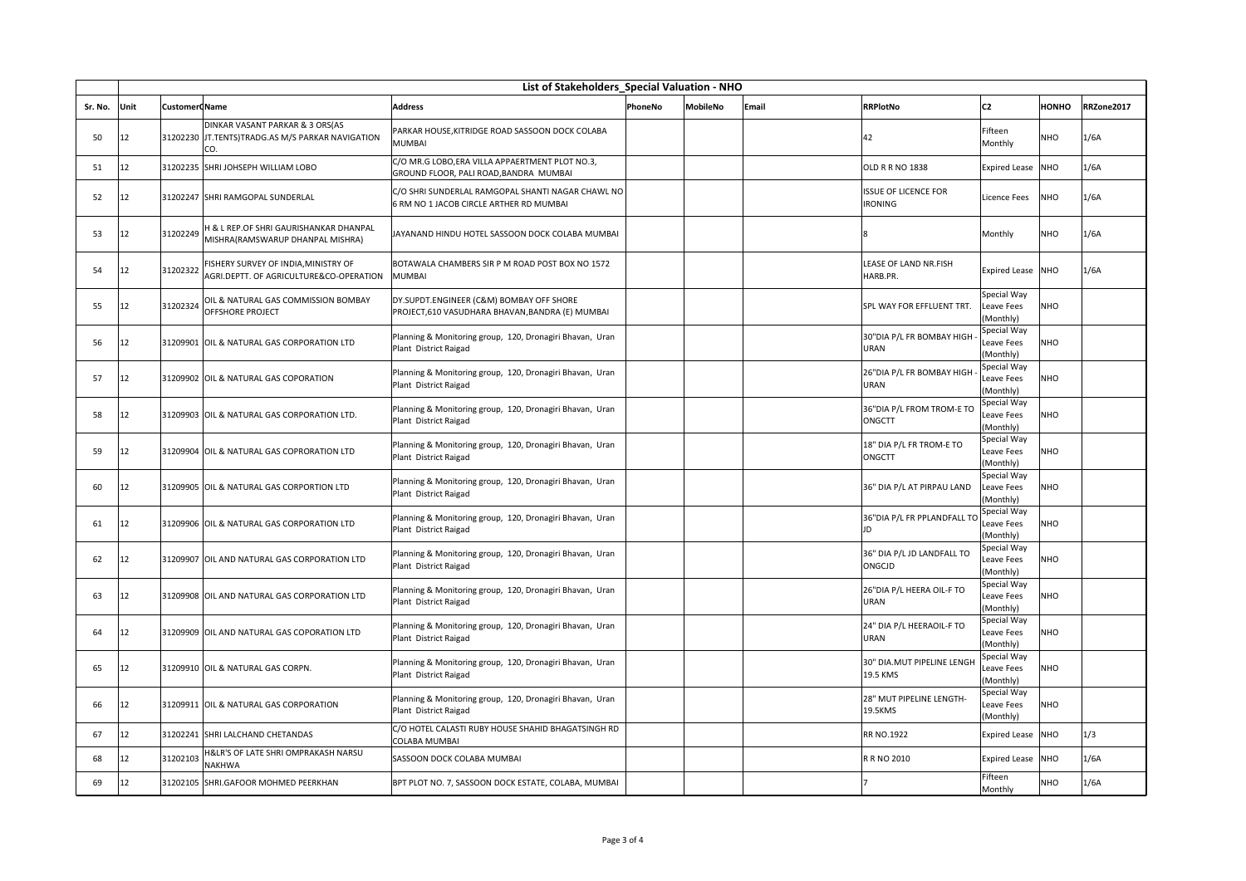|         | List of Stakeholders Special Valuation - NHO |                       |                                                                                            |                                                                                              |         |          |       |                                               |                                        |            |            |
|---------|----------------------------------------------|-----------------------|--------------------------------------------------------------------------------------------|----------------------------------------------------------------------------------------------|---------|----------|-------|-----------------------------------------------|----------------------------------------|------------|------------|
| Sr. No. | Unit                                         | <b>Customer CName</b> |                                                                                            | Address                                                                                      | PhoneNo | MobileNo | Email | <b>RRPlotNo</b>                               | C <sub>2</sub>                         | номно      | RRZone2017 |
| 50      | 12                                           |                       | DINKAR VASANT PARKAR & 3 ORS(AS<br>31202230 JT.TENTS)TRADG.AS M/S PARKAR NAVIGATION<br>CO. | PARKAR HOUSE, KITRIDGE ROAD SASSOON DOCK COLABA<br>MUMBAI                                    |         |          |       | 42                                            | Fifteen<br>Monthly                     | <b>NHO</b> | 1/6A       |
| 51      | 12                                           |                       | 31202235 SHRI JOHSEPH WILLIAM LOBO                                                         | C/O MR.G LOBO,ERA VILLA APPAERTMENT PLOT NO.3,<br>GROUND FLOOR, PALI ROAD, BANDRA MUMBAI     |         |          |       | <b>OLD R R NO 1838</b>                        | <b>Expired Lease</b>                   | <b>NHO</b> | 1/6A       |
| 52      | 12                                           |                       | 31202247 SHRI RAMGOPAL SUNDERLAL                                                           | C/O SHRI SUNDERLAL RAMGOPAL SHANTI NAGAR CHAWL NO<br>6 RM NO 1 JACOB CIRCLE ARTHER RD MUMBAI |         |          |       | <b>ISSUE OF LICENCE FOR</b><br><b>IRONING</b> | Licence Fees                           | <b>NHO</b> | 1/6A       |
| 53      | 12                                           | 31202249              | H & L REP.OF SHRI GAURISHANKAR DHANPAL<br>MISHRA(RAMSWARUP DHANPAL MISHRA)                 | JAYANAND HINDU HOTEL SASSOON DOCK COLABA MUMBAI                                              |         |          |       | R                                             | Monthly                                | <b>NHO</b> | 1/6A       |
| 54      | 12                                           | 31202322              | FISHERY SURVEY OF INDIA, MINISTRY OF<br>AGRI.DEPTT. OF AGRICULTURE&CO-OPERATION            | BOTAWALA CHAMBERS SIR P M ROAD POST BOX NO 1572<br>MUMBAI                                    |         |          |       | LEASE OF LAND NR.FISH<br>HARB.PR.             | <b>Expired Lease</b>                   | <b>NHO</b> | 1/6A       |
| 55      | 12                                           | 31202324              | OIL & NATURAL GAS COMMISSION BOMBAY<br>OFFSHORE PROJECT                                    | DY.SUPDT.ENGINEER (C&M) BOMBAY OFF SHORE<br>PROJECT,610 VASUDHARA BHAVAN,BANDRA (E) MUMBAI   |         |          |       | SPL WAY FOR EFFLUENT TRT.                     | Special Way<br>Leave Fees<br>(Monthly) | <b>NHO</b> |            |
| 56      | 12                                           |                       | 31209901 OIL & NATURAL GAS CORPORATION LTD                                                 | Planning & Monitoring group, 120, Dronagiri Bhavan, Uran<br>Plant District Raigad            |         |          |       | 30"DIA P/L FR BOMBAY HIGH<br>URAN             | Special Way<br>Leave Fees<br>(Monthly) | <b>NHO</b> |            |
| 57      | 12                                           |                       | 31209902 OIL & NATURAL GAS COPORATION                                                      | Planning & Monitoring group, 120, Dronagiri Bhavan, Uran<br>Plant District Raigad            |         |          |       | 26"DIA P/L FR BOMBAY HIGH<br><b>URAN</b>      | Special Way<br>Leave Fees<br>(Monthly) | <b>NHO</b> |            |
| 58      | 12                                           |                       | 31209903 OIL & NATURAL GAS CORPORATION LTD.                                                | Planning & Monitoring group, 120, Dronagiri Bhavan, Uran<br>Plant District Raigad            |         |          |       | 36"DIA P/L FROM TROM-E TO<br><b>ONGCTT</b>    | Special Way<br>Leave Fees<br>(Monthly) | <b>NHO</b> |            |
| 59      | 12                                           |                       | 31209904 OIL & NATURAL GAS COPRORATION LTD                                                 | Planning & Monitoring group, 120, Dronagiri Bhavan, Uran<br>Plant District Raigad            |         |          |       | 18" DIA P/L FR TROM-E TO<br>ONGCTT            | Special Way<br>Leave Fees<br>(Monthly) | NHO        |            |
| 60      | 12                                           |                       | 31209905 OIL & NATURAL GAS CORPORTION LTD                                                  | Planning & Monitoring group, 120, Dronagiri Bhavan, Uran<br>Plant District Raigad            |         |          |       | 36" DIA P/L AT PIRPAU LAND                    | Special Way<br>Leave Fees<br>(Monthly) | NHO        |            |
| 61      | 12                                           |                       | 31209906 OIL & NATURAL GAS CORPORATION LTD                                                 | Planning & Monitoring group, 120, Dronagiri Bhavan, Uran<br>Plant District Raigad            |         |          |       | 36"DIA P/L FR PPLANDFALL TO<br>ID             | Special Way<br>Leave Fees<br>(Monthly) | NHO        |            |
| 62      | 12                                           |                       | 31209907 OIL AND NATURAL GAS CORPORATION LTD                                               | Planning & Monitoring group, 120, Dronagiri Bhavan, Uran<br>Plant District Raigad            |         |          |       | 36" DIA P/L JD LANDFALL TO<br>ONGCJD          | Special Way<br>Leave Fees<br>(Monthly) | NHO        |            |
| 63      | 12                                           |                       | 31209908 OIL AND NATURAL GAS CORPORATION LTD                                               | Planning & Monitoring group, 120, Dronagiri Bhavan, Uran<br>Plant District Raigad            |         |          |       | 26"DIA P/L HEERA OIL-F TO<br>URAN             | Special Way<br>Leave Fees<br>(Monthly) | NHO        |            |
| 64      | 12                                           |                       | 31209909 OIL AND NATURAL GAS COPORATION LTD                                                | Planning & Monitoring group, 120, Dronagiri Bhavan, Uran<br>Plant District Raigad            |         |          |       | 24" DIA P/L HEERAOIL-F TO<br><b>URAN</b>      | Special Way<br>Leave Fees<br>(Monthly) | <b>NHO</b> |            |
| 65      | 12                                           |                       | 31209910 OIL & NATURAL GAS CORPN.                                                          | Planning & Monitoring group, 120, Dronagiri Bhavan, Uran<br>Plant District Raigad            |         |          |       | 30" DIA.MUT PIPELINE LENGH<br>19.5 KMS        | Special Way<br>Leave Fees<br>(Monthly) | <b>NHO</b> |            |
| 66      | 12                                           |                       | 31209911 OIL & NATURAL GAS CORPORATION                                                     | Planning & Monitoring group, 120, Dronagiri Bhavan, Uran<br>Plant District Raigad            |         |          |       | 28" MUT PIPELINE LENGTH-<br>19.5KMS           | Special Way<br>Leave Fees<br>(Monthly) | <b>NHO</b> |            |
| 67      | 12                                           |                       | 31202241 SHRI LALCHAND CHETANDAS                                                           | C/O HOTEL CALASTI RUBY HOUSE SHAHID BHAGATSINGH RD<br>COLABA MUMBAI                          |         |          |       | <b>RR NO.1922</b>                             | <b>Expired Lease</b>                   | <b>NHO</b> | 1/3        |
| 68      | 12                                           | 31202103              | H&LR'S OF LATE SHRI OMPRAKASH NARSU<br>NAKHWA                                              | SASSOON DOCK COLABA MUMBAI                                                                   |         |          |       | R R NO 2010                                   | <b>Expired Lease</b>                   | <b>NHO</b> | 1/6A       |
| 69      | 12                                           |                       | 31202105 SHRI.GAFOOR MOHMED PEERKHAN                                                       | BPT PLOT NO. 7, SASSOON DOCK ESTATE, COLABA, MUMBAI                                          |         |          |       |                                               | Fifteen<br>Monthly                     | <b>NHO</b> | 1/6A       |